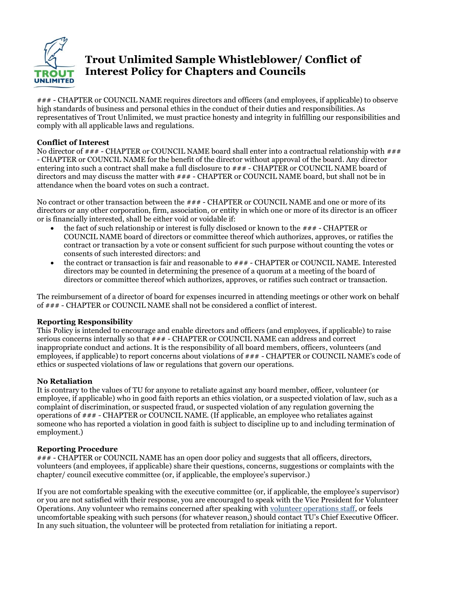

# **Trout Unlimited Sample Whistleblower/ Conflict of Interest Policy for Chapters and Councils**

### - CHAPTER or COUNCIL NAME requires directors and officers (and employees, if applicable) to observe high standards of business and personal ethics in the conduct of their duties and responsibilities. As representatives of Trout Unlimited, we must practice honesty and integrity in fulfilling our responsibilities and comply with all applicable laws and regulations.

### **Conflict of Interest**

No director of  $\# \# \#$  - CHAPTER or COUNCIL NAME board shall enter into a contractual relationship with  $\# \# \#$ - CHAPTER or COUNCIL NAME for the benefit of the director without approval of the board. Any director entering into such a contract shall make a full disclosure to  $\#H$  - CHAPTER or COUNCIL NAME board of directors and may discuss the matter with  $\# \# 4$  - CHAPTER or COUNCIL NAME board, but shall not be in attendance when the board votes on such a contract.

No contract or other transaction between the  $\##$  - CHAPTER or COUNCIL NAME and one or more of its directors or any other corporation, firm, association, or entity in which one or more of its director is an officer or is financially interested, shall be either void or voidable if:

- the fact of such relationship or interest is fully disclosed or known to the  $\#H$  CHAPTER or COUNCIL NAME board of directors or committee thereof which authorizes, approves, or ratifies the contract or transaction by a vote or consent sufficient for such purpose without counting the votes or consents of such interested directors: and
- the contract or transaction is fair and reasonable to ### CHAPTER or COUNCIL NAME. Interested directors may be counted in determining the presence of a quorum at a meeting of the board of directors or committee thereof which authorizes, approves, or ratifies such contract or transaction.

The reimbursement of a director of board for expenses incurred in attending meetings or other work on behalf of ### - CHAPTER or COUNCIL NAME shall not be considered a conflict of interest.

#### **Reporting Responsibility**

This Policy is intended to encourage and enable directors and officers (and employees, if applicable) to raise serious concerns internally so that ### - CHAPTER or COUNCIL NAME can address and correct inappropriate conduct and actions. It is the responsibility of all board members, officers, volunteers (and employees, if applicable) to report concerns about violations of ### - CHAPTER or COUNCIL NAME's code of ethics or suspected violations of law or regulations that govern our operations.

# **No Retaliation**

It is contrary to the values of TU for anyone to retaliate against any board member, officer, volunteer (or employee, if applicable) who in good faith reports an ethics violation, or a suspected violation of law, such as a complaint of discrimination, or suspected fraud, or suspected violation of any regulation governing the operations of ### - CHAPTER or COUNCIL NAME. (If applicable, an employee who retaliates against someone who has reported a violation in good faith is subject to discipline up to and including termination of employment.)

#### **Reporting Procedure**

### - CHAPTER or COUNCIL NAME has an open door policy and suggests that all officers, directors, volunteers (and employees, if applicable) share their questions, concerns, suggestions or complaints with the chapter/ council executive committee (or, if applicable, the employee's supervisor.)

If you are not comfortable speaking with the executive committee (or, if applicable, the employee's supervisor) or you are not satisfied with their response, you are encouraged to speak with the Vice President for Volunteer Operations. Any volunteer who remains concerned after speaking with [volunteer operations staff,](http://www.tu.org/staff/volunteer-operations) or feels uncomfortable speaking with such persons (for whatever reason,) should contact TU's Chief Executive Officer. In any such situation, the volunteer will be protected from retaliation for initiating a report.